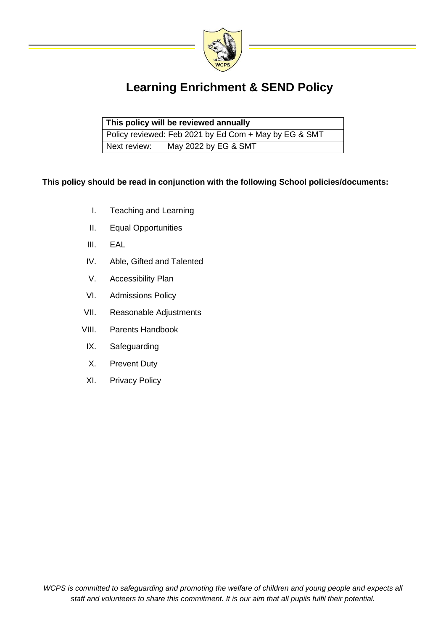

# **Learning Enrichment & SEND Policy**

| This policy will be reviewed annually |                                                       |  |
|---------------------------------------|-------------------------------------------------------|--|
|                                       | Policy reviewed: Feb 2021 by Ed Com + May by EG & SMT |  |
| Next review:                          | May 2022 by EG & SMT                                  |  |

## **This policy should be read in conjunction with the following School policies/documents:**

- I. Teaching and Learning
- II. Equal Opportunities
- III. EAL
- IV. Able, Gifted and Talented
- V. Accessibility Plan
- VI. Admissions Policy
- VII. Reasonable Adjustments
- VIII. Parents Handbook
- IX. Safeguarding
- X. Prevent Duty
- XI. Privacy Policy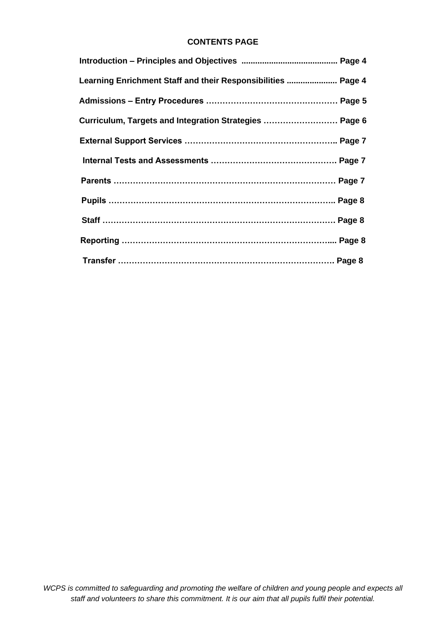## **CONTENTS PAGE**

| Learning Enrichment Staff and their Responsibilities  Page 4 |  |
|--------------------------------------------------------------|--|
|                                                              |  |
| Curriculum, Targets and Integration Strategies  Page 6       |  |
|                                                              |  |
|                                                              |  |
|                                                              |  |
|                                                              |  |
|                                                              |  |
|                                                              |  |
|                                                              |  |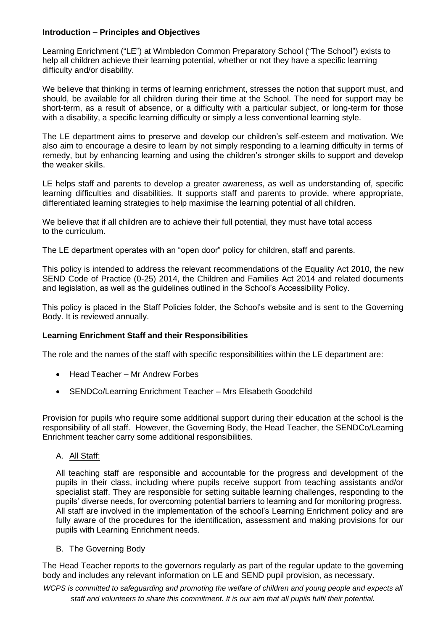#### **Introduction – Principles and Objectives**

Learning Enrichment ("LE") at Wimbledon Common Preparatory School ("The School") exists to help all children achieve their learning potential, whether or not they have a specific learning difficulty and/or disability.

We believe that thinking in terms of learning enrichment, stresses the notion that support must, and should, be available for all children during their time at the School. The need for support may be short-term, as a result of absence, or a difficulty with a particular subject, or long-term for those with a disability, a specific learning difficulty or simply a less conventional learning style.

The LE department aims to preserve and develop our children's self-esteem and motivation. We also aim to encourage a desire to learn by not simply responding to a learning difficulty in terms of remedy, but by enhancing learning and using the children's stronger skills to support and develop the weaker skills.

LE helps staff and parents to develop a greater awareness, as well as understanding of, specific learning difficulties and disabilities. It supports staff and parents to provide, where appropriate, differentiated learning strategies to help maximise the learning potential of all children.

We believe that if all children are to achieve their full potential, they must have total access to the curriculum.

The LE department operates with an "open door" policy for children, staff and parents.

This policy is intended to address the relevant recommendations of the Equality Act 2010, the new SEND Code of Practice (0-25) 2014, the Children and Families Act 2014 and related documents and legislation, as well as the guidelines outlined in the School's Accessibility Policy.

This policy is placed in the Staff Policies folder, the School's website and is sent to the Governing Body. It is reviewed annually.

#### **Learning Enrichment Staff and their Responsibilities**

The role and the names of the staff with specific responsibilities within the LE department are:

- Head Teacher Mr Andrew Forbes
- SENDCo/Learning Enrichment Teacher Mrs Elisabeth Goodchild

Provision for pupils who require some additional support during their education at the school is the responsibility of all staff. However, the Governing Body, the Head Teacher, the SENDCo/Learning Enrichment teacher carry some additional responsibilities.

#### A. All Staff:

All teaching staff are responsible and accountable for the progress and development of the pupils in their class, including where pupils receive support from teaching assistants and/or specialist staff. They are responsible for setting suitable learning challenges, responding to the pupils' diverse needs, for overcoming potential barriers to learning and for monitoring progress. All staff are involved in the implementation of the school's Learning Enrichment policy and are fully aware of the procedures for the identification, assessment and making provisions for our pupils with Learning Enrichment needs.

#### B. The Governing Body

The Head Teacher reports to the governors regularly as part of the regular update to the governing body and includes any relevant information on LE and SEND pupil provision, as necessary.

*WCPS is committed to safeguarding and promoting the welfare of children and young people and expects all staff and volunteers to share this commitment. It is our aim that all pupils fulfil their potential.*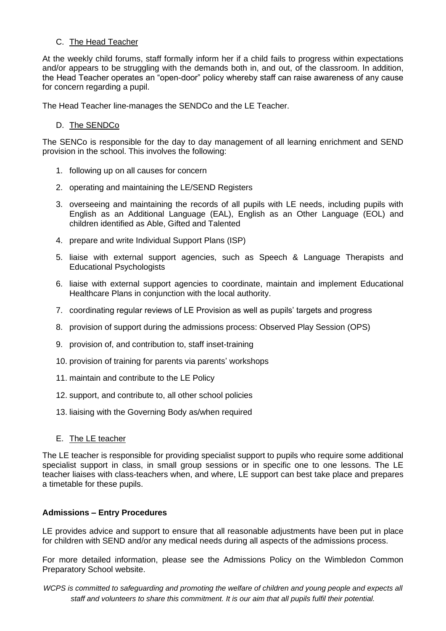## C. The Head Teacher

At the weekly child forums, staff formally inform her if a child fails to progress within expectations and/or appears to be struggling with the demands both in, and out, of the classroom. In addition, the Head Teacher operates an "open-door" policy whereby staff can raise awareness of any cause for concern regarding a pupil.

The Head Teacher line-manages the SENDCo and the LE Teacher.

## D. The SENDCo

The SENCo is responsible for the day to day management of all learning enrichment and SEND provision in the school. This involves the following:

- 1. following up on all causes for concern
- 2. operating and maintaining the LE/SEND Registers
- 3. overseeing and maintaining the records of all pupils with LE needs, including pupils with English as an Additional Language (EAL), English as an Other Language (EOL) and children identified as Able, Gifted and Talented
- 4. prepare and write Individual Support Plans (ISP)
- 5. liaise with external support agencies, such as Speech & Language Therapists and Educational Psychologists
- 6. liaise with external support agencies to coordinate, maintain and implement Educational Healthcare Plans in conjunction with the local authority.
- 7. coordinating regular reviews of LE Provision as well as pupils' targets and progress
- 8. provision of support during the admissions process: Observed Play Session (OPS)
- 9. provision of, and contribution to, staff inset-training
- 10. provision of training for parents via parents' workshops
- 11. maintain and contribute to the LE Policy
- 12. support, and contribute to, all other school policies
- 13. liaising with the Governing Body as/when required
- E. The LE teacher

The LE teacher is responsible for providing specialist support to pupils who require some additional specialist support in class, in small group sessions or in specific one to one lessons. The LE teacher liaises with class-teachers when, and where, LE support can best take place and prepares a timetable for these pupils.

#### **Admissions – Entry Procedures**

LE provides advice and support to ensure that all reasonable adjustments have been put in place for children with SEND and/or any medical needs during all aspects of the admissions process.

For more detailed information, please see the Admissions Policy on the Wimbledon Common Preparatory School website.

*WCPS is committed to safeguarding and promoting the welfare of children and young people and expects all staff and volunteers to share this commitment. It is our aim that all pupils fulfil their potential.*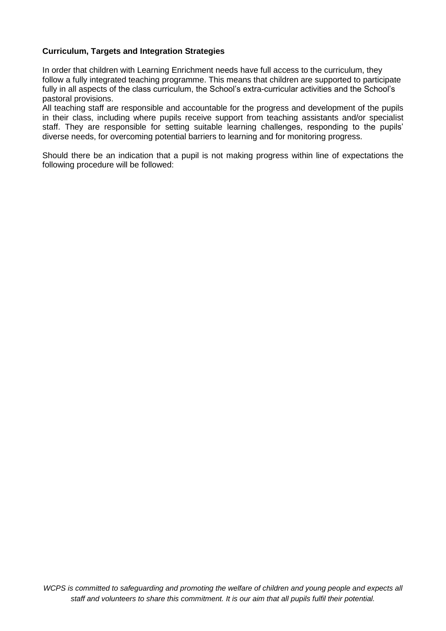## **Curriculum, Targets and Integration Strategies**

In order that children with Learning Enrichment needs have full access to the curriculum, they follow a fully integrated teaching programme. This means that children are supported to participate fully in all aspects of the class curriculum, the School's extra-curricular activities and the School's pastoral provisions.

All teaching staff are responsible and accountable for the progress and development of the pupils in their class, including where pupils receive support from teaching assistants and/or specialist staff. They are responsible for setting suitable learning challenges, responding to the pupils' diverse needs, for overcoming potential barriers to learning and for monitoring progress.

Should there be an indication that a pupil is not making progress within line of expectations the following procedure will be followed: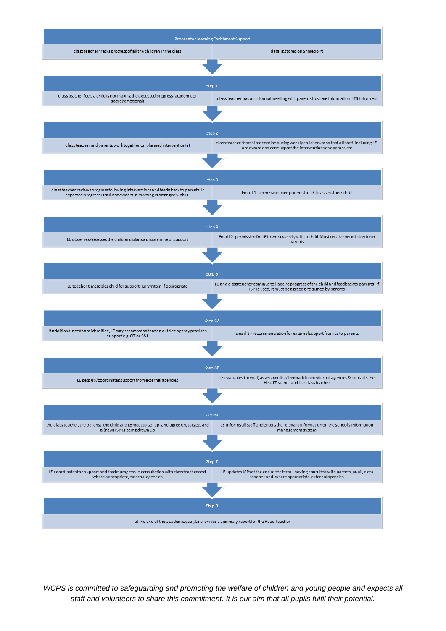

*WCPS is committed to safeguarding and promoting the welfare of children and young people and expects all staff and volunteers to share this commitment. It is our aim that all pupils fulfil their potential.*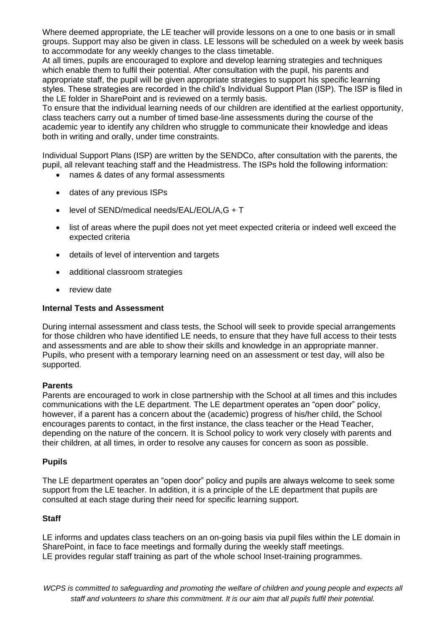Where deemed appropriate, the LE teacher will provide lessons on a one to one basis or in small groups. Support may also be given in class. LE lessons will be scheduled on a week by week basis to accommodate for any weekly changes to the class timetable.

At all times, pupils are encouraged to explore and develop learning strategies and techniques which enable them to fulfil their potential. After consultation with the pupil, his parents and appropriate staff, the pupil will be given appropriate strategies to support his specific learning styles. These strategies are recorded in the child's Individual Support Plan (ISP). The ISP is filed in the LE folder in SharePoint and is reviewed on a termly basis.

To ensure that the individual learning needs of our children are identified at the earliest opportunity, class teachers carry out a number of timed base-line assessments during the course of the academic year to identify any children who struggle to communicate their knowledge and ideas both in writing and orally, under time constraints.

Individual Support Plans (ISP) are written by the SENDCo, after consultation with the parents, the pupil, all relevant teaching staff and the Headmistress. The ISPs hold the following information:

- names & dates of any formal assessments
- dates of any previous ISPs
- level of SEND/medical needs/EAL/EOL/A,G + T
- list of areas where the pupil does not yet meet expected criteria or indeed well exceed the expected criteria
- details of level of intervention and targets
- additional classroom strategies
- review date

#### **Internal Tests and Assessment**

During internal assessment and class tests, the School will seek to provide special arrangements for those children who have identified LE needs, to ensure that they have full access to their tests and assessments and are able to show their skills and knowledge in an appropriate manner. Pupils, who present with a temporary learning need on an assessment or test day, will also be supported.

#### **Parents**

Parents are encouraged to work in close partnership with the School at all times and this includes communications with the LE department. The LE department operates an "open door" policy, however, if a parent has a concern about the (academic) progress of his/her child, the School encourages parents to contact, in the first instance, the class teacher or the Head Teacher, depending on the nature of the concern. It is School policy to work very closely with parents and their children, at all times, in order to resolve any causes for concern as soon as possible.

#### **Pupils**

The LE department operates an "open door" policy and pupils are always welcome to seek some support from the LE teacher. In addition, it is a principle of the LE department that pupils are consulted at each stage during their need for specific learning support.

#### **Staff**

LE informs and updates class teachers on an on-going basis via pupil files within the LE domain in SharePoint, in face to face meetings and formally during the weekly staff meetings. LE provides regular staff training as part of the whole school Inset-training programmes.

*WCPS is committed to safeguarding and promoting the welfare of children and young people and expects all staff and volunteers to share this commitment. It is our aim that all pupils fulfil their potential.*